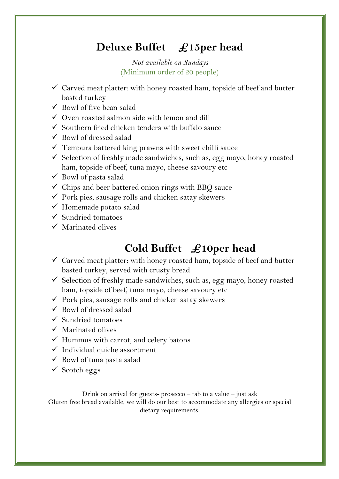## **Deluxe Buffet £15per head**

*Not available on Sundays* (Minimum order of 20 people)

- $\checkmark$  Carved meat platter: with honey roasted ham, topside of beef and butter basted turkey
- $\checkmark$  Bowl of five bean salad
- $\checkmark$  Oven roasted salmon side with lemon and dill
- $\checkmark$  Southern fried chicken tenders with buffalo sauce
- $\checkmark$  Bowl of dressed salad
- $\checkmark$  Tempura battered king prawns with sweet chilli sauce
- $\checkmark$  Selection of freshly made sandwiches, such as, egg mayo, honey roasted ham, topside of beef, tuna mayo, cheese savoury etc
- $\checkmark$  Bowl of pasta salad
- $\checkmark$  Chips and beer battered onion rings with BBQ sauce
- $\checkmark$  Pork pies, sausage rolls and chicken satay skewers
- $\checkmark$  Homemade potato salad
- $\checkmark$  Sundried tomatoes
- $\checkmark$  Marinated olives

# **Cold Buffet £10per head**

- $\checkmark$  Carved meat platter: with honey roasted ham, topside of beef and butter basted turkey, served with crusty bread
- $\checkmark$  Selection of freshly made sandwiches, such as, egg mayo, honey roasted ham, topside of beef, tuna mayo, cheese savoury etc
- $\checkmark$  Pork pies, sausage rolls and chicken satay skewers
- $\checkmark$  Bowl of dressed salad
- $\checkmark$  Sundried tomatoes
- $\checkmark$  Marinated olives
- $\checkmark$  Hummus with carrot, and celery batons
- $\checkmark$  Individual quiche assortment
- $\checkmark$  Bowl of tuna pasta salad
- $\checkmark$  Scotch eggs

Drink on arrival for guests- prosecco – tab to a value – just ask Gluten free bread available, we will do our best to accommodate any allergies or special dietary requirements.